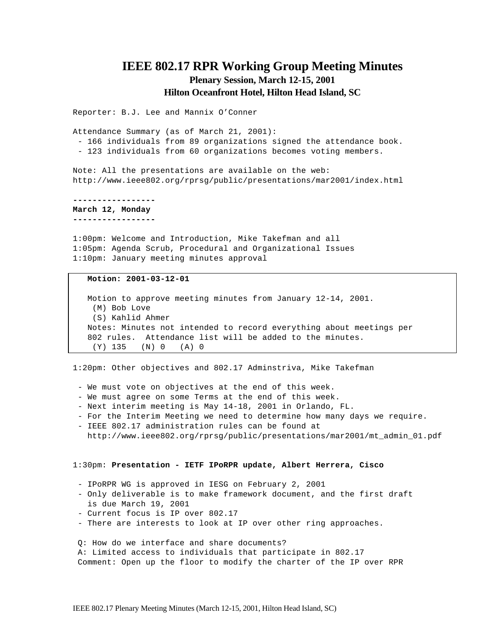# **IEEE 802.17 RPR Working Group Meeting Minutes Plenary Session, March 12-15, 2001 Hilton Oceanfront Hotel, Hilton Head Island, SC**

Reporter: B.J. Lee and Mannix O'Conner

Attendance Summary (as of March 21, 2001): - 166 individuals from 89 organizations signed the attendance book.

- 123 individuals from 60 organizations becomes voting members.

Note: All the presentations are available on the web: http://www.ieee802.org/rprsg/public/presentations/mar2001/index.html

**-----------------**

**March 12, Monday -----------------**

1:00pm: Welcome and Introduction, Mike Takefman and all 1:05pm: Agenda Scrub, Procedural and Organizational Issues 1:10pm: January meeting minutes approval

### **Motion: 2001-03-12-01**

Motion to approve meeting minutes from January 12-14, 2001. (M) Bob Love (S) Kahlid Ahmer Notes: Minutes not intended to record everything about meetings per 802 rules. Attendance list will be added to the minutes. (Y) 135 (N) 0 (A) 0

1:20pm: Other objectives and 802.17 Adminstriva, Mike Takefman

- We must vote on objectives at the end of this week.
- We must agree on some Terms at the end of this week.
- Next interim meeting is May 14-18, 2001 in Orlando, FL.
- For the Interim Meeting we need to determine how many days we require.
- IEEE 802.17 administration rules can be found at http://www.ieee802.org/rprsg/public/presentations/mar2001/mt\_admin\_01.pdf

#### 1:30pm: **Presentation - IETF IPoRPR update, Albert Herrera, Cisco**

- IPoRPR WG is approved in IESG on February 2, 2001
- Only deliverable is to make framework document, and the first draft is due March 19, 2001
- Current focus is IP over 802.17
- There are interests to look at IP over other ring approaches.

Q: How do we interface and share documents?

 A: Limited access to individuals that participate in 802.17 Comment: Open up the floor to modify the charter of the IP over RPR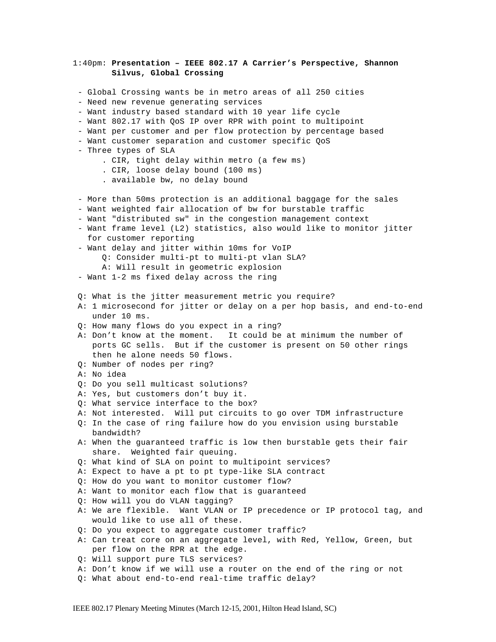1:40pm: **Presentation – IEEE 802.17 A Carrier's Perspective, Shannon Silvus, Global Crossing** - Global Crossing wants be in metro areas of all 250 cities - Need new revenue generating services - Want industry based standard with 10 year life cycle - Want 802.17 with QoS IP over RPR with point to multipoint - Want per customer and per flow protection by percentage based - Want customer separation and customer specific QoS - Three types of SLA . CIR, tight delay within metro (a few ms) . CIR, loose delay bound (100 ms) . available bw, no delay bound - More than 50ms protection is an additional baggage for the sales - Want weighted fair allocation of bw for burstable traffic - Want "distributed sw" in the congestion management context - Want frame level (L2) statistics, also would like to monitor jitter for customer reporting - Want delay and jitter within 10ms for VoIP Q: Consider multi-pt to multi-pt vlan SLA? A: Will result in geometric explosion - Want 1-2 ms fixed delay across the ring Q: What is the jitter measurement metric you require? A: 1 microsecond for jitter or delay on a per hop basis, and end-to-end under 10 ms. Q: How many flows do you expect in a ring? A: Don't know at the moment. It could be at minimum the number of ports GC sells. But if the customer is present on 50 other rings then he alone needs 50 flows. Q: Number of nodes per ring? A: No idea Q: Do you sell multicast solutions? A: Yes, but customers don't buy it. Q: What service interface to the box? A: Not interested. Will put circuits to go over TDM infrastructure Q: In the case of ring failure how do you envision using burstable bandwidth? A: When the guaranteed traffic is low then burstable gets their fair share. Weighted fair queuing. Q: What kind of SLA on point to multipoint services? A: Expect to have a pt to pt type-like SLA contract Q: How do you want to monitor customer flow? A: Want to monitor each flow that is guaranteed Q: How will you do VLAN tagging? A: We are flexible. Want VLAN or IP precedence or IP protocol tag, and would like to use all of these. Q: Do you expect to aggregate customer traffic? A: Can treat core on an aggregate level, with Red, Yellow, Green, but per flow on the RPR at the edge. Q: Will support pure TLS services? A: Don't know if we will use a router on the end of the ring or not Q: What about end-to-end real-time traffic delay?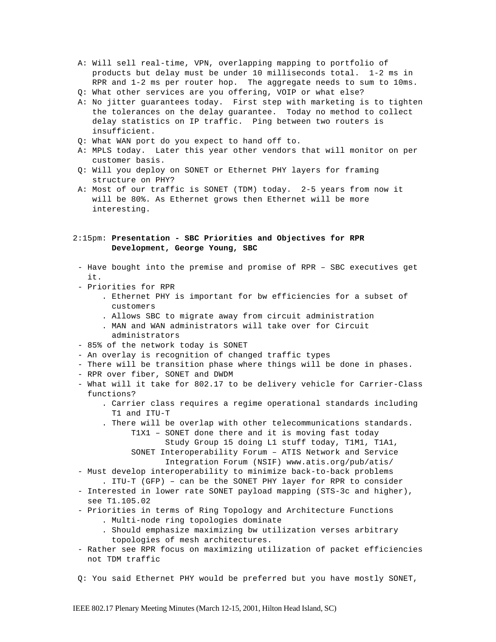- A: Will sell real-time, VPN, overlapping mapping to portfolio of products but delay must be under 10 milliseconds total. 1-2 ms in RPR and 1-2 ms per router hop. The aggregate needs to sum to 10ms.
- Q: What other services are you offering, VOIP or what else?
- A: No jitter guarantees today. First step with marketing is to tighten the tolerances on the delay guarantee. Today no method to collect delay statistics on IP traffic. Ping between two routers is insufficient.
- Q: What WAN port do you expect to hand off to.
- A: MPLS today. Later this year other vendors that will monitor on per customer basis.
- Q: Will you deploy on SONET or Ethernet PHY layers for framing structure on PHY?
- A: Most of our traffic is SONET (TDM) today. 2-5 years from now it will be 80%. As Ethernet grows then Ethernet will be more interesting.

# 2:15pm: **Presentation - SBC Priorities and Objectives for RPR Development, George Young, SBC**

- Have bought into the premise and promise of RPR SBC executives get it.
- Priorities for RPR
	- . Ethernet PHY is important for bw efficiencies for a subset of customers
	- . Allows SBC to migrate away from circuit administration
	- . MAN and WAN administrators will take over for Circuit administrators
- 85% of the network today is SONET
- An overlay is recognition of changed traffic types
- There will be transition phase where things will be done in phases.
- RPR over fiber, SONET and DWDM
- What will it take for 802.17 to be delivery vehicle for Carrier-Class functions?
	- . Carrier class requires a regime operational standards including T1 and ITU-T
	- . There will be overlap with other telecommunications standards.
		- T1X1 SONET done there and it is moving fast today Study Group 15 doing L1 stuff today, T1M1, T1A1, SONET Interoperability Forum – ATIS Network and Service Integration Forum (NSIF) www.atis.org/pub/atis/
- Must develop interoperability to minimize back-to-back problems
- . ITU-T (GFP) can be the SONET PHY layer for RPR to consider - Interested in lower rate SONET payload mapping (STS-3c and higher), see T1.105.02
- Priorities in terms of Ring Topology and Architecture Functions . Multi-node ring topologies dominate
	- . Should emphasize maximizing bw utilization verses arbitrary topologies of mesh architectures.
- Rather see RPR focus on maximizing utilization of packet efficiencies not TDM traffic
- Q: You said Ethernet PHY would be preferred but you have mostly SONET,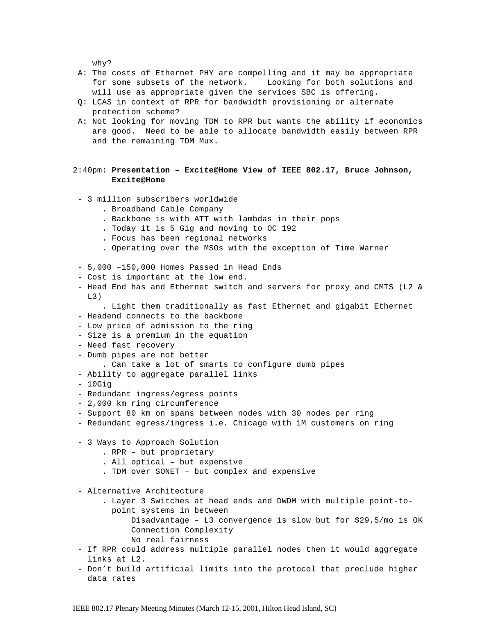why?

- A: The costs of Ethernet PHY are compelling and it may be appropriate for some subsets of the network. Looking for both solutions and will use as appropriate given the services SBC is offering.
- Q: LCAS in context of RPR for bandwidth provisioning or alternate protection scheme?
- A: Not looking for moving TDM to RPR but wants the ability if economics are good. Need to be able to allocate bandwidth easily between RPR and the remaining TDM Mux.

# 2:40pm: **Presentation – Excite@Home View of IEEE 802.17, Bruce Johnson, Excite@Home**

- 3 million subscribers worldwide
	- . Broadband Cable Company
	- . Backbone is with ATT with lambdas in their pops
	- . Today it is 5 Gig and moving to OC 192
	- . Focus has been regional networks
	- . Operating over the MSOs with the exception of Time Warner
- 5,000 –150,000 Homes Passed in Head Ends
- Cost is important at the low end.
- Head End has and Ethernet switch and servers for proxy and CMTS (L2 &  $T<sub>1</sub>$ 3)
- . Light them traditionally as fast Ethernet and gigabit Ethernet
- Headend connects to the backbone
- Low price of admission to the ring
- Size is a premium in the equation
- Need fast recovery
- Dumb pipes are not better
	- . Can take a lot of smarts to configure dumb pipes
- Ability to aggregate parallel links
- 10Gig
- Redundant ingress/egress points
- 2,000 km ring circumference
- Support 80 km on spans between nodes with 30 nodes per ring
- Redundant egress/ingress i.e. Chicago with 1M customers on ring
- 3 Ways to Approach Solution
	- . RPR but proprietary
	- . All optical but expensive
	- . TDM over SONET but complex and expensive

- Alternative Architecture

- . Layer 3 Switches at head ends and DWDM with multiple point-to point systems in between
	- Disadvantage L3 convergence is slow but for \$29.5/mo is OK Connection Complexity
		- No real fairness
- If RPR could address multiple parallel nodes then it would aggregate links at L2.
- Don't build artificial limits into the protocol that preclude higher data rates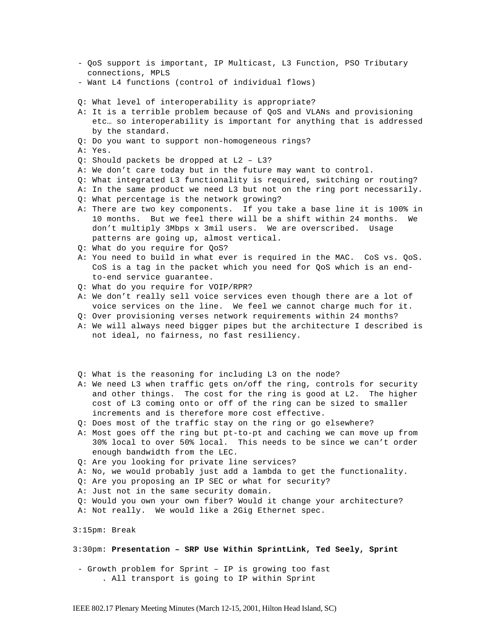- QoS support is important, IP Multicast, L3 Function, PSO Tributary connections, MPLS
- Want L4 functions (control of individual flows)
- Q: What level of interoperability is appropriate?
- A: It is a terrible problem because of QoS and VLANs and provisioning etc… so interoperability is important for anything that is addressed by the standard.
- Q: Do you want to support non-homogeneous rings?
- A: Yes.
- Q: Should packets be dropped at L2 L3?
- A: We don't care today but in the future may want to control.
- Q: What integrated L3 functionality is required, switching or routing?
- A: In the same product we need L3 but not on the ring port necessarily.
- Q: What percentage is the network growing?
- A: There are two key components. If you take a base line it is 100% in 10 months. But we feel there will be a shift within 24 months. We don't multiply 3Mbps x 3mil users. We are overscribed. Usage patterns are going up, almost vertical.
- Q: What do you require for QoS?
- A: You need to build in what ever is required in the MAC. CoS vs. QoS. CoS is a tag in the packet which you need for QoS which is an end to-end service guarantee.
- Q: What do you require for VOIP/RPR?
- A: We don't really sell voice services even though there are a lot of voice services on the line. We feel we cannot charge much for it.
- Q: Over provisioning verses network requirements within 24 months?
- A: We will always need bigger pipes but the architecture I described is not ideal, no fairness, no fast resiliency.
- Q: What is the reasoning for including L3 on the node?
- A: We need L3 when traffic gets on/off the ring, controls for security and other things. The cost for the ring is good at L2. The higher cost of L3 coming onto or off of the ring can be sized to smaller increments and is therefore more cost effective.
- Q: Does most of the traffic stay on the ring or go elsewhere?
- A: Most goes off the ring but pt-to-pt and caching we can move up from 30% local to over 50% local. This needs to be since we can't order enough bandwidth from the LEC.
- Q: Are you looking for private line services?
- A: No, we would probably just add a lambda to get the functionality.
- Q: Are you proposing an IP SEC or what for security?
- A: Just not in the same security domain.
- Q: Would you own your own fiber? Would it change your architecture?
- A: Not really. We would like a 2Gig Ethernet spec.

3:15pm: Break

3:30pm: **Presentation – SRP Use Within SprintLink, Ted Seely, Sprint**

- Growth problem for Sprint – IP is growing too fast . All transport is going to IP within Sprint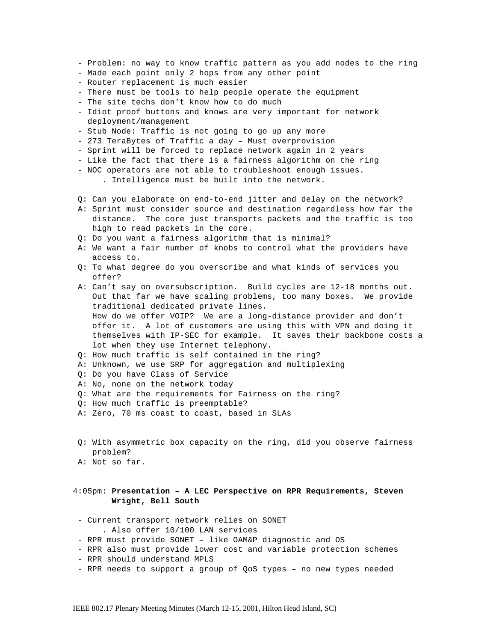- Problem: no way to know traffic pattern as you add nodes to the ring
- Made each point only 2 hops from any other point
- Router replacement is much easier
- There must be tools to help people operate the equipment
- The site techs don't know how to do much
- Idiot proof buttons and knows are very important for network deployment/management
- Stub Node: Traffic is not going to go up any more
- 273 TeraBytes of Traffic a day Must overprovision
- Sprint will be forced to replace network again in 2 years
- Like the fact that there is a fairness algorithm on the ring
- NOC operators are not able to troubleshoot enough issues.
	- . Intelligence must be built into the network.
- Q: Can you elaborate on end-to-end jitter and delay on the network?
- A: Sprint must consider source and destination regardless how far the distance. The core just transports packets and the traffic is too high to read packets in the core.
- Q: Do you want a fairness algorithm that is minimal?
- A: We want a fair number of knobs to control what the providers have access to.
- Q: To what degree do you overscribe and what kinds of services you offer?
- A: Can't say on oversubscription. Build cycles are 12-18 months out. Out that far we have scaling problems, too many boxes. We provide traditional dedicated private lines. How do we offer VOIP? We are a long-distance provider and don't offer it. A lot of customers are using this with VPN and doing it themselves with IP-SEC for example. It saves their backbone costs a lot when they use Internet telephony.
- Q: How much traffic is self contained in the ring?
- A: Unknown, we use SRP for aggregation and multiplexing
- Q: Do you have Class of Service
- A: No, none on the network today
- Q: What are the requirements for Fairness on the ring?
- Q: How much traffic is preemptable?
- A: Zero, 70 ms coast to coast, based in SLAs
- Q: With asymmetric box capacity on the ring, did you observe fairness problem?
- A: Not so far.

# 4:05pm: **Presentation – A LEC Perspective on RPR Requirements, Steven Wright, Bell South**

- Current transport network relies on SONET . Also offer 10/100 LAN services
- RPR must provide SONET like OAM&P diagnostic and OS
- RPR also must provide lower cost and variable protection schemes
- RPR should understand MPLS
- RPR needs to support a group of QoS types no new types needed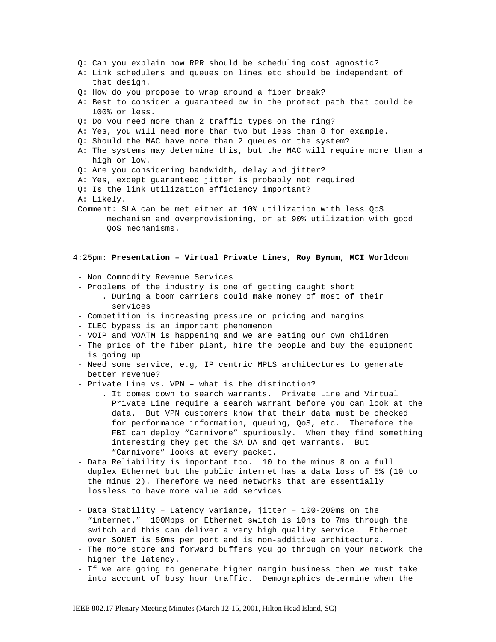- Q: Can you explain how RPR should be scheduling cost agnostic?
- A: Link schedulers and queues on lines etc should be independent of that design.
- Q: How do you propose to wrap around a fiber break?
- A: Best to consider a guaranteed bw in the protect path that could be 100% or less.
- Q: Do you need more than 2 traffic types on the ring?
- A: Yes, you will need more than two but less than 8 for example.
- Q: Should the MAC have more than 2 queues or the system?
- A: The systems may determine this, but the MAC will require more than a high or low.
- Q: Are you considering bandwidth, delay and jitter?
- A: Yes, except guaranteed jitter is probably not required
- Q: Is the link utilization efficiency important?
- A: Likely.
- Comment: SLA can be met either at 10% utilization with less QoS mechanism and overprovisioning, or at 90% utilization with good QoS mechanisms.

#### 4:25pm: **Presentation – Virtual Private Lines, Roy Bynum, MCI Worldcom**

- Non Commodity Revenue Services
- Problems of the industry is one of getting caught short
	- . During a boom carriers could make money of most of their services
- Competition is increasing pressure on pricing and margins
- ILEC bypass is an important phenomenon
- VOIP and VOATM is happening and we are eating our own children
- The price of the fiber plant, hire the people and buy the equipment is going up
- Need some service, e.g, IP centric MPLS architectures to generate better revenue?
- Private Line vs. VPN what is the distinction?
	- . It comes down to search warrants. Private Line and Virtual Private Line require a search warrant before you can look at the data. But VPN customers know that their data must be checked for performance information, queuing, QoS, etc. Therefore the FBI can deploy "Carnivore" spuriously. When they find something interesting they get the SA DA and get warrants. But "Carnivore" looks at every packet.
- Data Reliability is important too. 10 to the minus 8 on a full duplex Ethernet but the public internet has a data loss of 5% (10 to the minus 2). Therefore we need networks that are essentially lossless to have more value add services
- Data Stability Latency variance, jitter 100-200ms on the "internet." 100Mbps on Ethernet switch is 10ns to 7ms through the switch and this can deliver a very high quality service. Ethernet over SONET is 50ms per port and is non-additive architecture.
- The more store and forward buffers you go through on your network the higher the latency.
- If we are going to generate higher margin business then we must take into account of busy hour traffic. Demographics determine when the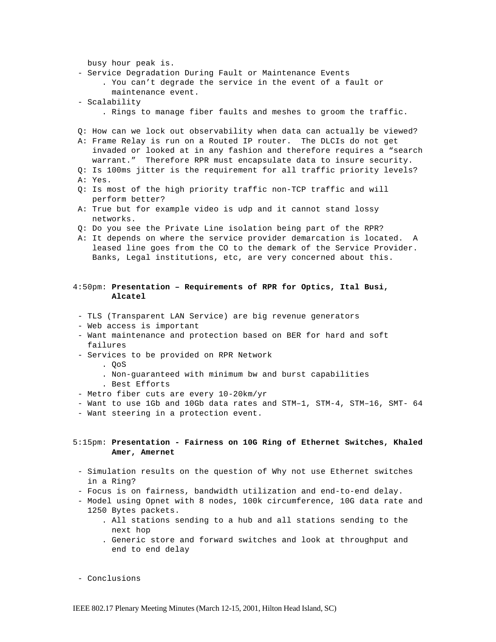busy hour peak is. - Service Degradation During Fault or Maintenance Events . You can't degrade the service in the event of a fault or maintenance event. - Scalability . Rings to manage fiber faults and meshes to groom the traffic. Q: How can we lock out observability when data can actually be viewed? A: Frame Relay is run on a Routed IP router. The DLCIs do not get invaded or looked at in any fashion and therefore requires a "search warrant." Therefore RPR must encapsulate data to insure security. Q: Is 100ms jitter is the requirement for all traffic priority levels? A: Yes. Q: Is most of the high priority traffic non-TCP traffic and will perform better? A: True but for example video is udp and it cannot stand lossy networks. Q: Do you see the Private Line isolation being part of the RPR? A: It depends on where the service provider demarcation is located. A leased line goes from the CO to the demark of the Service Provider. Banks, Legal institutions, etc, are very concerned about this. 4:50pm: **Presentation – Requirements of RPR for Optics, Ital Busi, Alcatel** - TLS (Transparent LAN Service) are big revenue generators - Web access is important - Want maintenance and protection based on BER for hard and soft failures - Services to be provided on RPR Network . QoS . Non-guaranteed with minimum bw and burst capabilities . Best Efforts - Metro fiber cuts are every 10-20km/yr - Want to use 1Gb and 10Gb data rates and STM–1, STM-4, STM–16, SMT- 64 - Want steering in a protection event. 5:15pm: **Presentation - Fairness on 10G Ring of Ethernet Switches, Khaled Amer, Amernet** - Simulation results on the question of Why not use Ethernet switches in a Ring? - Focus is on fairness, bandwidth utilization and end-to-end delay. - Model using Opnet with 8 nodes, 100k circumference, 10G data rate and 1250 Bytes packets. . All stations sending to a hub and all stations sending to the next hop

. Generic store and forward switches and look at throughput and end to end delay

- Conclusions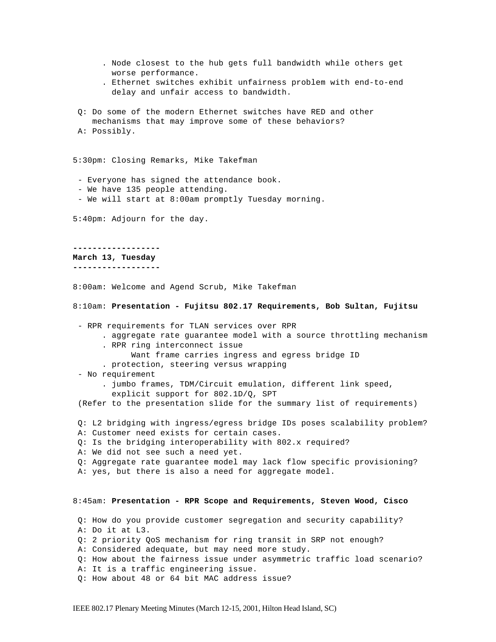. Node closest to the hub gets full bandwidth while others get worse performance. . Ethernet switches exhibit unfairness problem with end-to-end delay and unfair access to bandwidth. Q: Do some of the modern Ethernet switches have RED and other mechanisms that may improve some of these behaviors? A: Possibly. 5:30pm: Closing Remarks, Mike Takefman - Everyone has signed the attendance book. - We have 135 people attending. - We will start at 8:00am promptly Tuesday morning. 5:40pm: Adjourn for the day. **------------------ March 13, Tuesday ------------------** 8:00am: Welcome and Agend Scrub, Mike Takefman 8:10am: **Presentation - Fujitsu 802.17 Requirements, Bob Sultan, Fujitsu** - RPR requirements for TLAN services over RPR . aggregate rate guarantee model with a source throttling mechanism . RPR ring interconnect issue Want frame carries ingress and egress bridge ID . protection, steering versus wrapping - No requirement . jumbo frames, TDM/Circuit emulation, different link speed, explicit support for 802.1D/Q, SPT (Refer to the presentation slide for the summary list of requirements) Q: L2 bridging with ingress/egress bridge IDs poses scalability problem? A: Customer need exists for certain cases. Q: Is the bridging interoperability with 802.x required? A: We did not see such a need yet. Q: Aggregate rate guarantee model may lack flow specific provisioning? A: yes, but there is also a need for aggregate model. 8:45am: **Presentation - RPR Scope and Requirements, Steven Wood, Cisco** Q: How do you provide customer segregation and security capability? A: Do it at L3. Q: 2 priority QoS mechanism for ring transit in SRP not enough? A: Considered adequate, but may need more study. Q: How about the fairness issue under asymmetric traffic load scenario? A: It is a traffic engineering issue. Q: How about 48 or 64 bit MAC address issue?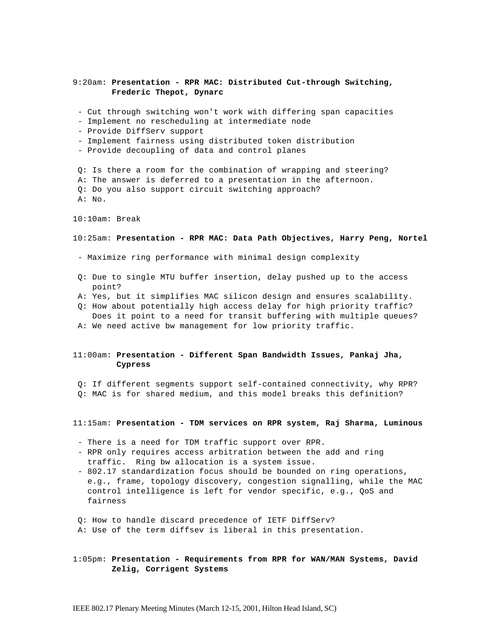## 9:20am: **Presentation - RPR MAC: Distributed Cut-through Switching, Frederic Thepot, Dynarc**

- Cut through switching won't work with differing span capacities
- Implement no rescheduling at intermediate node
- Provide DiffServ support
- Implement fairness using distributed token distribution
- Provide decoupling of data and control planes

 Q: Is there a room for the combination of wrapping and steering? A: The answer is deferred to a presentation in the afternoon. Q: Do you also support circuit switching approach? A: No.

10:10am: Break

#### 10:25am: **Presentation - RPR MAC: Data Path Objectives, Harry Peng, Nortel**

- Maximize ring performance with minimal design complexity
- Q: Due to single MTU buffer insertion, delay pushed up to the access point?
- A: Yes, but it simplifies MAC silicon design and ensures scalability.
- Q: How about potentially high access delay for high priority traffic? Does it point to a need for transit buffering with multiple queues?
- A: We need active bw management for low priority traffic.

### 11:00am: **Presentation - Different Span Bandwidth Issues, Pankaj Jha, Cypress**

 Q: If different segments support self-contained connectivity, why RPR? Q: MAC is for shared medium, and this model breaks this definition?

#### 11:15am: **Presentation - TDM services on RPR system, Raj Sharma, Luminous**

- There is a need for TDM traffic support over RPR.
- RPR only requires access arbitration between the add and ring traffic. Ring bw allocation is a system issue.
- 802.17 standardization focus should be bounded on ring operations, e.g., frame, topology discovery, congestion signalling, while the MAC control intelligence is left for vendor specific, e.g., QoS and fairness
- Q: How to handle discard precedence of IETF DiffServ?
- A: Use of the term diffsev is liberal in this presentation.

1:05pm: **Presentation - Requirements from RPR for WAN/MAN Systems, David Zelig, Corrigent Systems**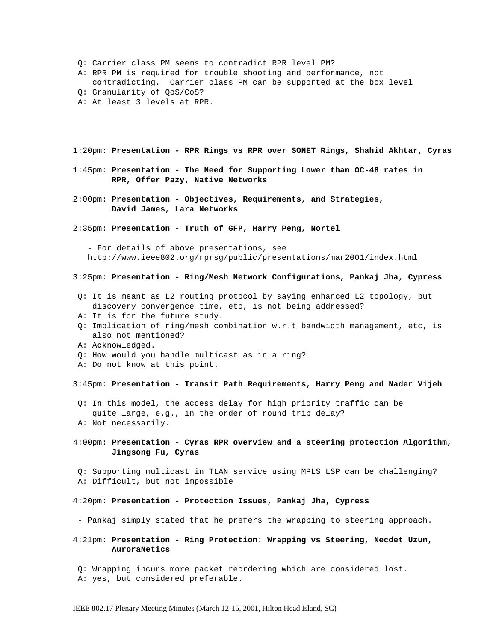- Q: Carrier class PM seems to contradict RPR level PM?
- A: RPR PM is required for trouble shooting and performance, not
- contradicting. Carrier class PM can be supported at the box level Q: Granularity of QoS/CoS?
- A: At least 3 levels at RPR.
- 

1:20pm: **Presentation - RPR Rings vs RPR over SONET Rings, Shahid Akhtar, Cyras**

- 1:45pm: **Presentation The Need for Supporting Lower than OC-48 rates in RPR, Offer Pazy, Native Networks**
- 2:00pm: **Presentation Objectives, Requirements, and Strategies, David James, Lara Networks**
- 2:35pm: **Presentation Truth of GFP, Harry Peng, Nortel**

 - For details of above presentations, see http://www.ieee802.org/rprsg/public/presentations/mar2001/index.html

#### 3:25pm: **Presentation - Ring/Mesh Network Configurations, Pankaj Jha, Cypress**

- Q: It is meant as L2 routing protocol by saying enhanced L2 topology, but discovery convergence time, etc, is not being addressed?
- A: It is for the future study.
- Q: Implication of ring/mesh combination w.r.t bandwidth management, etc, is also not mentioned?
- A: Acknowledged.
- Q: How would you handle multicast as in a ring?
- A: Do not know at this point.

### 3:45pm: **Presentation - Transit Path Requirements, Harry Peng and Nader Vijeh**

 Q: In this model, the access delay for high priority traffic can be quite large, e.g., in the order of round trip delay? A: Not necessarily.

4:00pm: **Presentation - Cyras RPR overview and a steering protection Algorithm, Jingsong Fu, Cyras**

 Q: Supporting multicast in TLAN service using MPLS LSP can be challenging? A: Difficult, but not impossible

#### 4:20pm: **Presentation - Protection Issues, Pankaj Jha, Cypress**

- Pankaj simply stated that he prefers the wrapping to steering approach.

4:21pm: **Presentation - Ring Protection: Wrapping vs Steering, Necdet Uzun, AuroraNetics**

 Q: Wrapping incurs more packet reordering which are considered lost. A: yes, but considered preferable.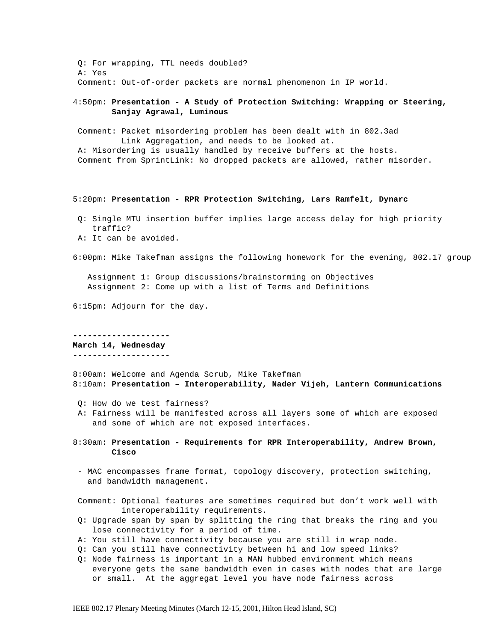Q: For wrapping, TTL needs doubled? A: Yes Comment: Out-of-order packets are normal phenomenon in IP world.

4:50pm: **Presentation - A Study of Protection Switching: Wrapping or Steering, Sanjay Agrawal, Luminous**

 Comment: Packet misordering problem has been dealt with in 802.3ad Link Aggregation, and needs to be looked at. A: Misordering is usually handled by receive buffers at the hosts. Comment from SprintLink: No dropped packets are allowed, rather misorder.

#### 5:20pm: **Presentation - RPR Protection Switching, Lars Ramfelt, Dynarc**

- Q: Single MTU insertion buffer implies large access delay for high priority traffic?
- A: It can be avoided.

6:00pm: Mike Takefman assigns the following homework for the evening, 802.17 group

 Assignment 1: Group discussions/brainstorming on Objectives Assignment 2: Come up with a list of Terms and Definitions

6:15pm: Adjourn for the day.

**-------------------- March 14, Wednesday --------------------**

8:00am: Welcome and Agenda Scrub, Mike Takefman 8:10am: **Presentation – Interoperability, Nader Vijeh, Lantern Communications**

- Q: How do we test fairness?
- A: Fairness will be manifested across all layers some of which are exposed and some of which are not exposed interfaces.
- 8:30am: **Presentation Requirements for RPR Interoperability, Andrew Brown, Cisco**
- MAC encompasses frame format, topology discovery, protection switching, and bandwidth management.

 Comment: Optional features are sometimes required but don't work well with interoperability requirements.

- Q: Upgrade span by span by splitting the ring that breaks the ring and you lose connectivity for a period of time.
- A: You still have connectivity because you are still in wrap node.
- Q: Can you still have connectivity between hi and low speed links?
- Q: Node fairness is important in a MAN hubbed environment which means everyone gets the same bandwidth even in cases with nodes that are large or small. At the aggregat level you have node fairness across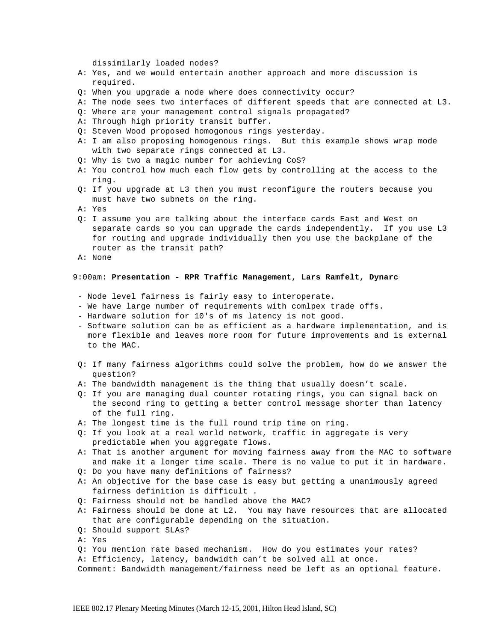dissimilarly loaded nodes?

- A: Yes, and we would entertain another approach and more discussion is required.
- Q: When you upgrade a node where does connectivity occur?
- A: The node sees two interfaces of different speeds that are connected at L3.
- Q: Where are your management control signals propagated?
- A: Through high priority transit buffer.
- Q: Steven Wood proposed homogonous rings yesterday.
- A: I am also proposing homogenous rings. But this example shows wrap mode with two separate rings connected at L3.
- Q: Why is two a magic number for achieving CoS?
- A: You control how much each flow gets by controlling at the access to the ring.
- Q: If you upgrade at L3 then you must reconfigure the routers because you must have two subnets on the ring.
- A: Yes
- Q: I assume you are talking about the interface cards East and West on separate cards so you can upgrade the cards independently. If you use L3 for routing and upgrade individually then you use the backplane of the router as the transit path?
- A: None

#### 9:00am: **Presentation - RPR Traffic Management, Lars Ramfelt, Dynarc**

- Node level fairness is fairly easy to interoperate.
- We have large number of requirements with comlpex trade offs.
- Hardware solution for 10's of ms latency is not good.
- Software solution can be as efficient as a hardware implementation, and is more flexible and leaves more room for future improvements and is external to the MAC.
- Q: If many fairness algorithms could solve the problem, how do we answer the question?
- A: The bandwidth management is the thing that usually doesn't scale.
- Q: If you are managing dual counter rotating rings, you can signal back on the second ring to getting a better control message shorter than latency of the full ring.
- A: The longest time is the full round trip time on ring.
- Q: If you look at a real world network, traffic in aggregate is very predictable when you aggregate flows.
- A: That is another argument for moving fairness away from the MAC to software and make it a longer time scale. There is no value to put it in hardware.
- Q: Do you have many definitions of fairness?
- A: An objective for the base case is easy but getting a unanimously agreed fairness definition is difficult .
- Q: Fairness should not be handled above the MAC?
- A: Fairness should be done at L2. You may have resources that are allocated that are configurable depending on the situation.
- Q: Should support SLAs?
- A: Yes
- Q: You mention rate based mechanism. How do you estimates your rates?
- A: Efficiency, latency, bandwidth can't be solved all at once.
- Comment: Bandwidth management/fairness need be left as an optional feature.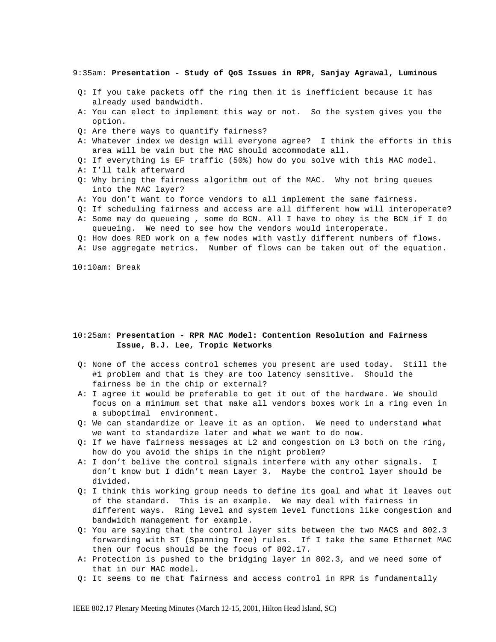9:35am: **Presentation - Study of QoS Issues in RPR, Sanjay Agrawal, Luminous**

- Q: If you take packets off the ring then it is inefficient because it has already used bandwidth.
- A: You can elect to implement this way or not. So the system gives you the option.
- Q: Are there ways to quantify fairness?
- A: Whatever index we design will everyone agree? I think the efforts in this area will be vain but the MAC should accommodate all.
- Q: If everything is EF traffic (50%) how do you solve with this MAC model.
- A: I'll talk afterward
- Q: Why bring the fairness algorithm out of the MAC. Why not bring queues into the MAC layer?
- A: You don't want to force vendors to all implement the same fairness.
- Q: If scheduling fairness and access are all different how will interoperate?
- A: Some may do queueing , some do BCN. All I have to obey is the BCN if I do queueing. We need to see how the vendors would interoperate.
- Q: How does RED work on a few nodes with vastly different numbers of flows.
- A: Use aggregate metrics. Number of flows can be taken out of the equation.

10:10am: Break

### 10:25am: **Presentation - RPR MAC Model: Contention Resolution and Fairness Issue, B.J. Lee, Tropic Networks**

- Q: None of the access control schemes you present are used today. Still the #1 problem and that is they are too latency sensitive. Should the fairness be in the chip or external?
- A: I agree it would be preferable to get it out of the hardware. We should focus on a minimum set that make all vendors boxes work in a ring even in a suboptimal environment.
- Q: We can standardize or leave it as an option. We need to understand what we want to standardize later and what we want to do now.
- Q: If we have fairness messages at L2 and congestion on L3 both on the ring, how do you avoid the ships in the night problem?
- A: I don't belive the control signals interfere with any other signals. I don't know but I didn't mean Layer 3. Maybe the control layer should be divided.
- Q: I think this working group needs to define its goal and what it leaves out of the standard. This is an example. We may deal with fairness in different ways. Ring level and system level functions like congestion and bandwidth management for example.
- Q: You are saying that the control layer sits between the two MACS and 802.3 forwarding with ST (Spanning Tree) rules. If I take the same Ethernet MAC then our focus should be the focus of 802.17.
- A: Protection is pushed to the bridging layer in 802.3, and we need some of that in our MAC model.
- Q: It seems to me that fairness and access control in RPR is fundamentally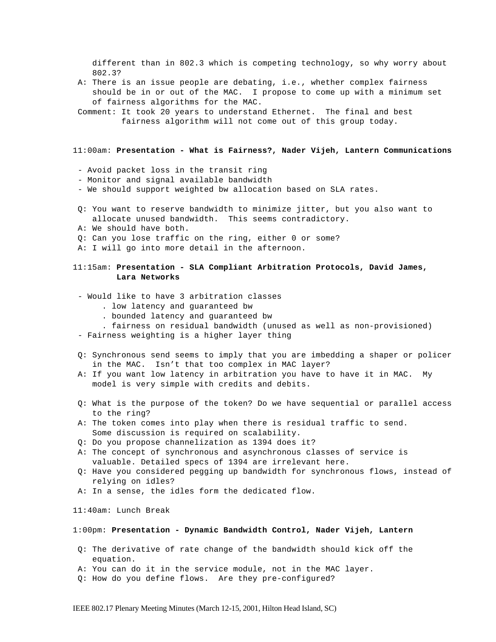different than in 802.3 which is competing technology, so why worry about 802.3?

- A: There is an issue people are debating, i.e., whether complex fairness should be in or out of the MAC. I propose to come up with a minimum set of fairness algorithms for the MAC.
- Comment: It took 20 years to understand Ethernet. The final and best fairness algorithm will not come out of this group today.

11:00am: **Presentation - What is Fairness?, Nader Vijeh, Lantern Communications**

- Avoid packet loss in the transit ring
- Monitor and signal available bandwidth
- We should support weighted bw allocation based on SLA rates.
- Q: You want to reserve bandwidth to minimize jitter, but you also want to allocate unused bandwidth. This seems contradictory.
- A: We should have both.
- Q: Can you lose traffic on the ring, either 0 or some?
- A: I will go into more detail in the afternoon.

### 11:15am: **Presentation - SLA Compliant Arbitration Protocols, David James, Lara Networks**

- Would like to have 3 arbitration classes
	- . low latency and guaranteed bw
	- . bounded latency and guaranteed bw
	- . fairness on residual bandwidth (unused as well as non-provisioned)
- Fairness weighting is a higher layer thing
- Q: Synchronous send seems to imply that you are imbedding a shaper or policer in the MAC. Isn't that too complex in MAC layer?
- A: If you want low latency in arbitration you have to have it in MAC. My model is very simple with credits and debits.
- Q: What is the purpose of the token? Do we have sequential or parallel access to the ring?
- A: The token comes into play when there is residual traffic to send. Some discussion is required on scalability.
- Q: Do you propose channelization as 1394 does it?
- A: The concept of synchronous and asynchronous classes of service is valuable. Detailed specs of 1394 are irrelevant here.
- Q: Have you considered pegging up bandwidth for synchronous flows, instead of relying on idles?
- A: In a sense, the idles form the dedicated flow.

11:40am: Lunch Break

#### 1:00pm: **Presentation - Dynamic Bandwidth Control, Nader Vijeh, Lantern**

- Q: The derivative of rate change of the bandwidth should kick off the equation.
- A: You can do it in the service module, not in the MAC layer.
- Q: How do you define flows. Are they pre-configured?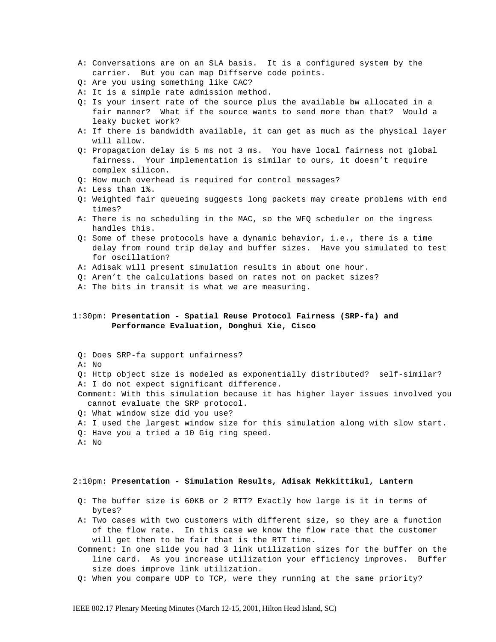- A: Conversations are on an SLA basis. It is a configured system by the carrier. But you can map Diffserve code points.
- Q: Are you using something like CAC?
- A: It is a simple rate admission method.
- Q: Is your insert rate of the source plus the available bw allocated in a fair manner? What if the source wants to send more than that? Would a leaky bucket work?
- A: If there is bandwidth available, it can get as much as the physical layer will allow.
- Q: Propagation delay is 5 ms not 3 ms. You have local fairness not global fairness. Your implementation is similar to ours, it doesn't require complex silicon.
- Q: How much overhead is required for control messages?
- A: Less than 1%.
- Q: Weighted fair queueing suggests long packets may create problems with end times?
- A: There is no scheduling in the MAC, so the WFQ scheduler on the ingress handles this.
- Q: Some of these protocols have a dynamic behavior, i.e., there is a time delay from round trip delay and buffer sizes. Have you simulated to test for oscillation?
- A: Adisak will present simulation results in about one hour.
- Q: Aren't the calculations based on rates not on packet sizes?
- A: The bits in transit is what we are measuring.

# 1:30pm: **Presentation - Spatial Reuse Protocol Fairness (SRP-fa) and Performance Evaluation, Donghui Xie, Cisco**

 A: No Q: Http object size is modeled as exponentially distributed? self-similar? A: I do not expect significant difference.

 Comment: With this simulation because it has higher layer issues involved you cannot evaluate the SRP protocol.

Q: What window size did you use?

Q: Does SRP-fa support unfairness?

- A: I used the largest window size for this simulation along with slow start.
- Q: Have you a tried a 10 Gig ring speed.
- A: No

#### 2:10pm: **Presentation - Simulation Results, Adisak Mekkittikul, Lantern**

- Q: The buffer size is 60KB or 2 RTT? Exactly how large is it in terms of bytes?
- A: Two cases with two customers with different size, so they are a function of the flow rate. In this case we know the flow rate that the customer will get then to be fair that is the RTT time.
- Comment: In one slide you had 3 link utilization sizes for the buffer on the line card. As you increase utilization your efficiency improves. Buffer size does improve link utilization.
- Q: When you compare UDP to TCP, were they running at the same priority?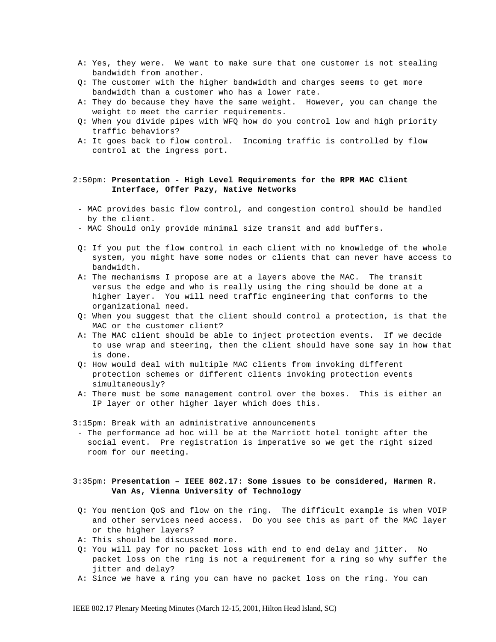- A: Yes, they were. We want to make sure that one customer is not stealing bandwidth from another.
- Q: The customer with the higher bandwidth and charges seems to get more bandwidth than a customer who has a lower rate.
- A: They do because they have the same weight. However, you can change the weight to meet the carrier requirements.
- Q: When you divide pipes with WFQ how do you control low and high priority traffic behaviors?
- A: It goes back to flow control. Incoming traffic is controlled by flow control at the ingress port.

### 2:50pm: **Presentation - High Level Requirements for the RPR MAC Client Interface, Offer Pazy, Native Networks**

- MAC provides basic flow control, and congestion control should be handled by the client.
- MAC Should only provide minimal size transit and add buffers.
- Q: If you put the flow control in each client with no knowledge of the whole system, you might have some nodes or clients that can never have access to bandwidth.
- A: The mechanisms I propose are at a layers above the MAC. The transit versus the edge and who is really using the ring should be done at a higher layer. You will need traffic engineering that conforms to the organizational need.
- Q: When you suggest that the client should control a protection, is that the MAC or the customer client?
- A: The MAC client should be able to inject protection events. If we decide to use wrap and steering, then the client should have some say in how that is done.
- Q: How would deal with multiple MAC clients from invoking different protection schemes or different clients invoking protection events simultaneously?
- A: There must be some management control over the boxes. This is either an IP layer or other higher layer which does this.

3:15pm: Break with an administrative announcements

- The performance ad hoc will be at the Marriott hotel tonight after the social event. Pre registration is imperative so we get the right sized room for our meeting.

# 3:35pm: **Presentation – IEEE 802.17: Some issues to be considered, Harmen R. Van As, Vienna University of Technology**

- Q: You mention QoS and flow on the ring. The difficult example is when VOIP and other services need access. Do you see this as part of the MAC layer or the higher layers?
- A: This should be discussed more.
- Q: You will pay for no packet loss with end to end delay and jitter. No packet loss on the ring is not a requirement for a ring so why suffer the jitter and delay?
- A: Since we have a ring you can have no packet loss on the ring. You can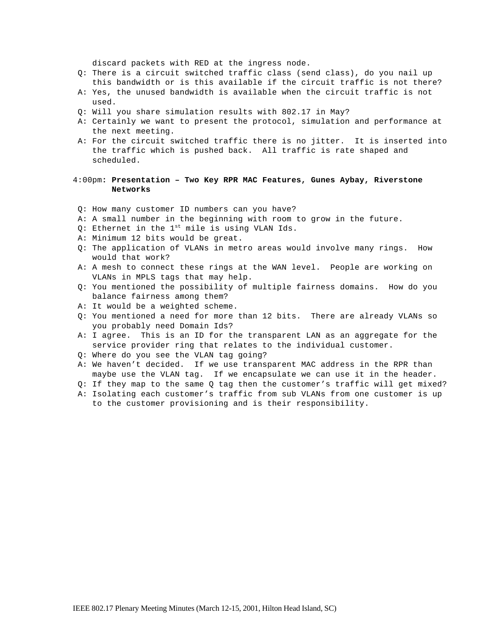discard packets with RED at the ingress node.

- Q: There is a circuit switched traffic class (send class), do you nail up this bandwidth or is this available if the circuit traffic is not there?
- A: Yes, the unused bandwidth is available when the circuit traffic is not used.
- Q: Will you share simulation results with 802.17 in May?
- A: Certainly we want to present the protocol, simulation and performance at the next meeting.
- A: For the circuit switched traffic there is no jitter. It is inserted into the traffic which is pushed back. All traffic is rate shaped and scheduled.

### 4:00pm**: Presentation – Two Key RPR MAC Features, Gunes Aybay, Riverstone Networks**

- Q: How many customer ID numbers can you have?
- A: A small number in the beginning with room to grow in the future.
- Q: Ethernet in the  $1^{st}$  mile is using VLAN Ids.
- A: Minimum 12 bits would be great.
- Q: The application of VLANs in metro areas would involve many rings. How would that work?
- A: A mesh to connect these rings at the WAN level. People are working on VLANs in MPLS tags that may help.
- Q: You mentioned the possibility of multiple fairness domains. How do you balance fairness among them?
- A: It would be a weighted scheme.
- Q: You mentioned a need for more than 12 bits. There are already VLANs so you probably need Domain Ids?
- A: I agree. This is an ID for the transparent LAN as an aggregate for the service provider ring that relates to the individual customer.
- Q: Where do you see the VLAN tag going?
- A: We haven't decided. If we use transparent MAC address in the RPR than maybe use the VLAN tag. If we encapsulate we can use it in the header.
- Q: If they map to the same Q tag then the customer's traffic will get mixed?
- A: Isolating each customer's traffic from sub VLANs from one customer is up to the customer provisioning and is their responsibility.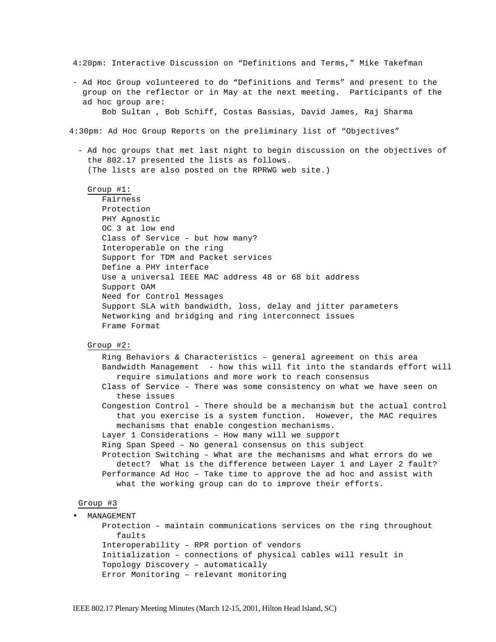4:20pm: Interactive Discussion on "Definitions and Terms," Mike Takefman

- Ad Hoc Group volunteered to do "Definitions and Terms" and present to the group on the reflector or in May at the next meeting. Participants of the ad hoc group are: Bob Sultan , Bob Schiff, Costas Bassias, David James, Raj Sharma

4:30pm: Ad Hoc Group Reports on the preliminary list of "Objectives"

- Ad hoc groups that met last night to begin discussion on the objectives of the 802.17 presented the lists as follows. (The lists are also posted on the RPRWG web site.)

#### Group #1:

Fairness Protection PHY Agnostic OC 3 at low end Class of Service – but how many? Interoperable on the ring Support for TDM and Packet services Define a PHY interface Use a universal IEEE MAC address 48 or 68 bit address Support OAM Need for Control Messages Support SLA with bandwidth, loss, delay and jitter parameters Networking and bridging and ring interconnect issues Frame Format

#### Group #2:

Ring Behaviors & Characteristics – general agreement on this area Bandwidth Management - how this will fit into the standards effort will require simulations and more work to reach consensus Class of Service – There was some consistency on what we have seen on these issues Congestion Control – There should be a mechanism but the actual control that you exercise is a system function. However, the MAC requires mechanisms that enable congestion mechanisms. Layer 1 Considerations – How many will we support Ring Span Speed – No general consensus on this subject Protection Switching – What are the mechanisms and what errors do we detect? What is the difference between Layer 1 and Layer 2 fault? Performance Ad Hoc – Take time to approve the ad hoc and assist with what the working group can do to improve their efforts.

### Group #3

• MANAGEMENT Protection – maintain communications services on the ring throughout faults Interoperability – RPR portion of vendors Initialization – connections of physical cables will result in Topology Discovery – automatically Error Monitoring – relevant monitoring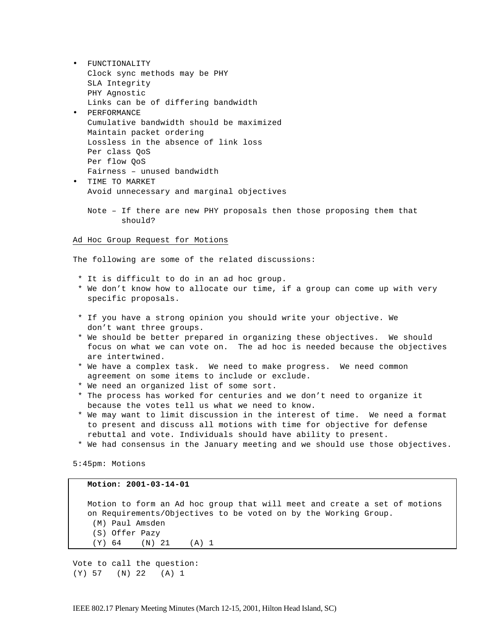- FUNCTIONALITY Clock sync methods may be PHY SLA Integrity PHY Agnostic Links can be of differing bandwidth
- PERFORMANCE Cumulative bandwidth should be maximized Maintain packet ordering Lossless in the absence of link loss Per class QoS Per flow QoS Fairness – unused bandwidth
- TIME TO MARKET Avoid unnecessary and marginal objectives
	- Note If there are new PHY proposals then those proposing them that should?

# Ad Hoc Group Request for Motions

The following are some of the related discussions:

- \* It is difficult to do in an ad hoc group.
- \* We don't know how to allocate our time, if a group can come up with very specific proposals.
- \* If you have a strong opinion you should write your objective. We don't want three groups.
- \* We should be better prepared in organizing these objectives. We should focus on what we can vote on. The ad hoc is needed because the objectives are intertwined.
- \* We have a complex task. We need to make progress. We need common agreement on some items to include or exclude.
- \* We need an organized list of some sort.
- \* The process has worked for centuries and we don't need to organize it because the votes tell us what we need to know.
- \* We may want to limit discussion in the interest of time. We need a format to present and discuss all motions with time for objective for defense rebuttal and vote. Individuals should have ability to present.
- \* We had consensus in the January meeting and we should use those objectives.

5:45pm: Motions

#### **Motion: 2001-03-14-01**

 Motion to form an Ad hoc group that will meet and create a set of motions on Requirements/Objectives to be voted on by the Working Group. (M) Paul Amsden (S) Offer Pazy (Y) 64 (N) 21 (A) 1

Vote to call the question: (Y) 57 (N) 22 (A) 1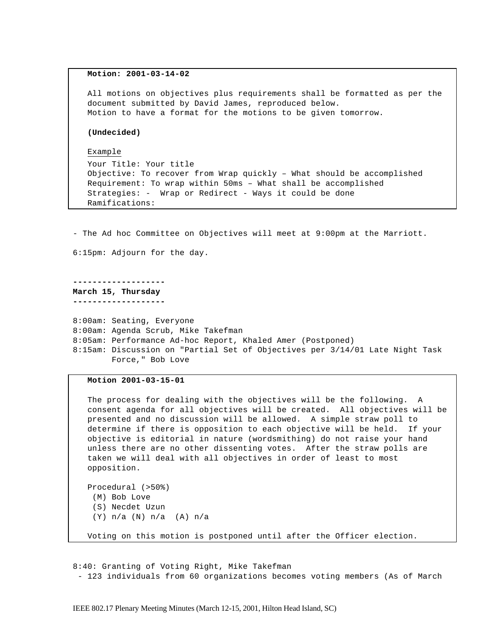#### **Motion: 2001-03-14-02**

 All motions on objectives plus requirements shall be formatted as per the document submitted by David James, reproduced below. Motion to have a format for the motions to be given tomorrow.

### **(Undecided)**

#### Example

```
 Your Title: Your title
 Objective: To recover from Wrap quickly – What should be accomplished
 Requirement: To wrap within 50ms – What shall be accomplished
 Strategies: - Wrap or Redirect - Ways it could be done
 Ramifications:
```
- The Ad hoc Committee on Objectives will meet at 9:00pm at the Marriott.

6:15pm: Adjourn for the day.

**------------------- March 15, Thursday -------------------**

8:00am: Seating, Everyone 8:00am: Agenda Scrub, Mike Takefman 8:05am: Performance Ad-hoc Report, Khaled Amer (Postponed) 8:15am: Discussion on "Partial Set of Objectives per 3/14/01 Late Night Task Force," Bob Love

#### **Motion 2001-03-15-01**

(Y) n/a (N) n/a (A) n/a

```
 The process for dealing with the objectives will be the following. A 
 consent agenda for all objectives will be created. All objectives will be
 presented and no discussion will be allowed. A simple straw poll to 
 determine if there is opposition to each objective will be held. If your 
 objective is editorial in nature (wordsmithing) do not raise your hand 
 unless there are no other dissenting votes. After the straw polls are
 taken we will deal with all objectives in order of least to most 
 opposition.
 Procedural (>50%)
  (M) Bob Love
  (S) Necdet Uzun
```
Voting on this motion is postponed until after the Officer election.

8:40: Granting of Voting Right, Mike Takefman - 123 individuals from 60 organizations becomes voting members (As of March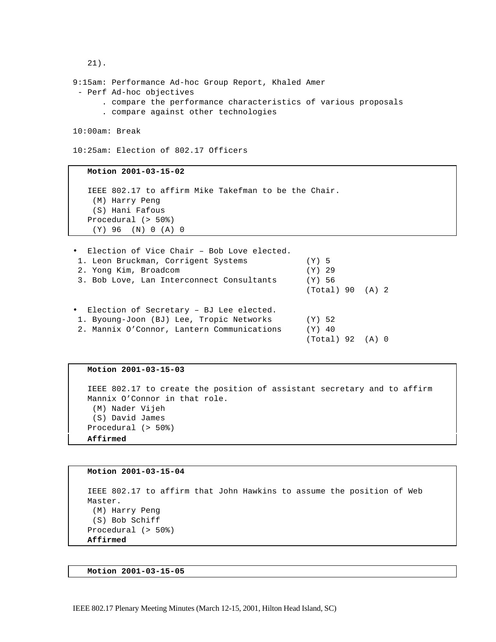```
 21).
9:15am: Performance Ad-hoc Group Report, Khaled Amer
- Perf Ad-hoc objectives
      . compare the performance characteristics of various proposals
     . compare against other technologies
10:00am: Break
10:25am: Election of 802.17 Officers
   Motion 2001-03-15-02
   IEEE 802.17 to affirm Mike Takefman to be the Chair.
    (M) Harry Peng
    (S) Hani Fafous
   Procedural (> 50%)
    (Y) 96 (N) 0 (A) 0
• Election of Vice Chair – Bob Love elected.
 1. Leon Bruckman, Corrigent Systems (Y) 5
 2. Yong Kim, Broadcom (Y) 29
```

```
(Total) 90 (A) 2
• Election of Secretary – BJ Lee elected.
 1. Byoung-Joon (BJ) Lee, Tropic Networks (Y) 52
 2. Mannix O'Connor, Lantern Communications (Y) 40
                                             (Total) 92 (A) 0
```
3. Bob Love, Lan Interconnect Consultants (Y) 56

#### **Motion 2001-03-15-03**

```
 IEEE 802.17 to create the position of assistant secretary and to affirm 
 Mannix O'Connor in that role.
 (M) Nader Vijeh
  (S) David James
 Procedural (> 50%)
 Affirmed
```

```
 Motion 2001-03-15-04
 IEEE 802.17 to affirm that John Hawkins to assume the position of Web 
 Master.
 (M) Harry Peng
  (S) Bob Schiff
 Procedural (> 50%)
 Affirmed
```

```
 Motion 2001-03-15-05
```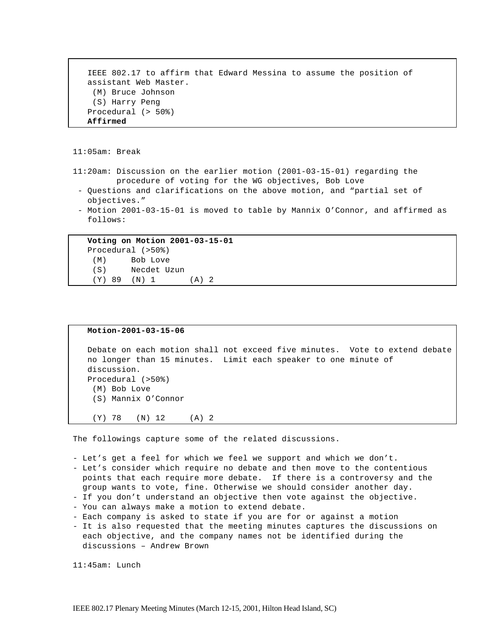```
 IEEE 802.17 to affirm that Edward Messina to assume the position of 
 assistant Web Master.
  (M) Bruce Johnson
  (S) Harry Peng
 Procedural (> 50%)
 Affirmed
```
11:05am: Break

- 11:20am: Discussion on the earlier motion (2001-03-15-01) regarding the procedure of voting for the WG objectives, Bob Love
- Questions and clarifications on the above motion, and "partial set of objectives."
- Motion 2001-03-15-01 is moved to table by Mannix O'Connor, and affirmed as follows:

 **Voting on Motion 2001-03-15-01** Procedural (>50%) (M) Bob Love (S) Necdet Uzun (Y) 89 (N) 1 (A) 2

#### **Motion-2001-03-15-06**

```
 Debate on each motion shall not exceed five minutes. Vote to extend debate 
 no longer than 15 minutes. Limit each speaker to one minute of 
 discussion.
 Procedural (>50%)
  (M) Bob Love
  (S) Mannix O'Connor
  (Y) 78 (N) 12 (A) 2
```
The followings capture some of the related discussions.

- Let's get a feel for which we feel we support and which we don't.

- Let's consider which require no debate and then move to the contentious points that each require more debate. If there is a controversy and the
- group wants to vote, fine. Otherwise we should consider another day.
- If you don't understand an objective then vote against the objective.
- You can always make a motion to extend debate.
- Each company is asked to state if you are for or against a motion
- It is also requested that the meeting minutes captures the discussions on each objective, and the company names not be identified during the discussions – Andrew Brown

11:45am: Lunch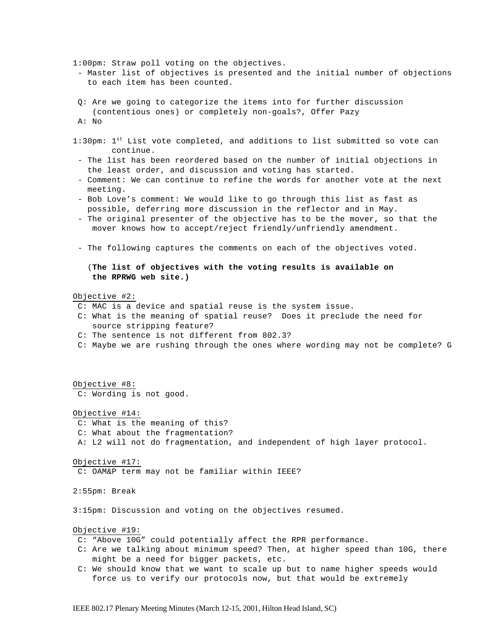1:00pm: Straw poll voting on the objectives.

- Master list of objectives is presented and the initial number of objections to each item has been counted.
- Q: Are we going to categorize the items into for further discussion (contentious ones) or completely non-goals?, Offer Pazy A: No
- 1:30pm: 1<sup>st</sup> List vote completed, and additions to list submitted so vote can continue.
- The list has been reordered based on the number of initial objections in the least order, and discussion and voting has started.
- Comment: We can continue to refine the words for another vote at the next meeting.
- Bob Love's comment: We would like to go through this list as fast as possible, deferring more discussion in the reflector and in May.
- The original presenter of the objective has to be the mover, so that the mover knows how to accept/reject friendly/unfriendly amendment.
- The following captures the comments on each of the objectives voted.

 (**The list of objectives with the voting results is available on the RPRWG web site.)**

Objective #2:

- C: MAC is a device and spatial reuse is the system issue.
- C: What is the meaning of spatial reuse? Does it preclude the need for source stripping feature?
- C: The sentence is not different from 802.3?
- C: Maybe we are rushing through the ones where wording may not be complete? G

Objective #8:

C: Wording is not good.

### Objective #14:

C: What is the meaning of this?

C: What about the fragmentation?

A: L2 will not do fragmentation, and independent of high layer protocol.

Objective #17:

C: OAM&P term may not be familiar within IEEE?

2:55pm: Break

3:15pm: Discussion and voting on the objectives resumed.

Objective #19:

- C: "Above 10G" could potentially affect the RPR performance.
- C: Are we talking about minimum speed? Then, at higher speed than 10G, there might be a need for bigger packets, etc.
- C: We should know that we want to scale up but to name higher speeds would force us to verify our protocols now, but that would be extremely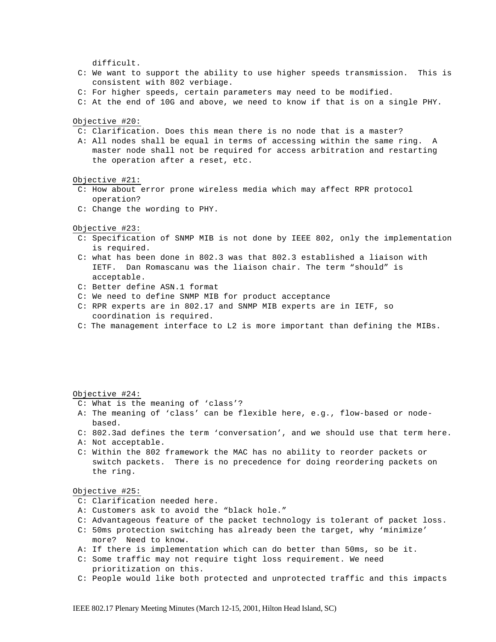difficult.

- C: We want to support the ability to use higher speeds transmission. This is consistent with 802 verbiage.
- C: For higher speeds, certain parameters may need to be modified.
- C: At the end of 10G and above, we need to know if that is on a single PHY.

Objective #20:

- C: Clarification. Does this mean there is no node that is a master?
- A: All nodes shall be equal in terms of accessing within the same ring. A master node shall not be required for access arbitration and restarting the operation after a reset, etc.

Objective #21:

- C: How about error prone wireless media which may affect RPR protocol operation?
- C: Change the wording to PHY.

Objective #23:

- C: Specification of SNMP MIB is not done by IEEE 802, only the implementation is required.
- C: what has been done in 802.3 was that 802.3 established a liaison with IETF. Dan Romascanu was the liaison chair. The term "should" is acceptable.
- C: Better define ASN.1 format
- C: We need to define SNMP MIB for product acceptance
- C: RPR experts are in 802.17 and SNMP MIB experts are in IETF, so coordination is required.
- C: The management interface to L2 is more important than defining the MIBs.

Objective #24:

- C: What is the meaning of 'class'?
- A: The meaning of 'class' can be flexible here, e.g., flow-based or node based.
- C: 802.3ad defines the term 'conversation', and we should use that term here.
- A: Not acceptable.
- C: Within the 802 framework the MAC has no ability to reorder packets or switch packets. There is no precedence for doing reordering packets on the ring.

Objective #25:

- C: Clarification needed here.
- A: Customers ask to avoid the "black hole."
- C: Advantageous feature of the packet technology is tolerant of packet loss.
- C: 50ms protection switching has already been the target, why 'minimize' more? Need to know.
- A: If there is implementation which can do better than 50ms, so be it.
- C: Some traffic may not require tight loss requirement. We need prioritization on this.
- C: People would like both protected and unprotected traffic and this impacts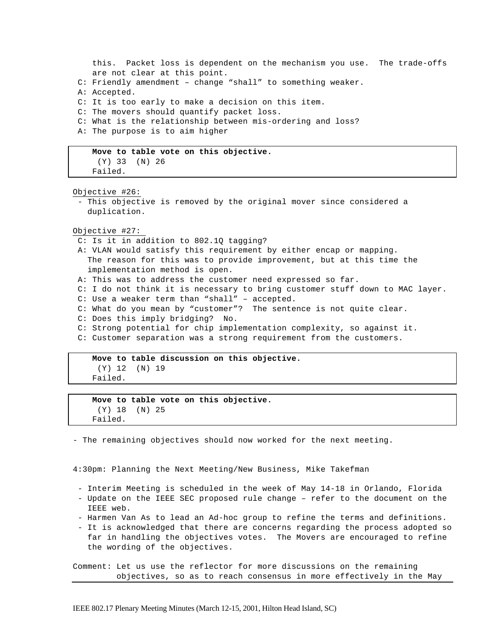```
 this. Packet loss is dependent on the mechanism you use. The trade-offs
    are not clear at this point.
 C: Friendly amendment – change "shall" to something weaker.
 A: Accepted.
 C: It is too early to make a decision on this item.
 C: The movers should quantify packet loss.
 C: What is the relationship between mis-ordering and loss?
 A: The purpose is to aim higher
```

```
 Move to table vote on this objective.
  (Y) 33 (N) 26
 Failed.
```
#### Objective #26:

- This objective is removed by the original mover since considered a duplication.

#### Objective #27:

- C: Is it in addition to 802.1Q tagging?
- A: VLAN would satisfy this requirement by either encap or mapping. The reason for this was to provide improvement, but at this time the implementation method is open.
- A: This was to address the customer need expressed so far.
- C: I do not think it is necessary to bring customer stuff down to MAC layer.
- C: Use a weaker term than "shall" accepted.
- C: What do you mean by "customer"? The sentence is not quite clear.
- C: Does this imply bridging? No.
- C: Strong potential for chip implementation complexity, so against it.
- C: Customer separation was a strong requirement from the customers.

### **Move to table discussion on this objective.** (Y) 12 (N) 19 Failed.

# **Move to table vote on this objective.** (Y) 18 (N) 25 Failed.

- The remaining objectives should now worked for the next meeting.

4:30pm: Planning the Next Meeting/New Business, Mike Takefman

- Interim Meeting is scheduled in the week of May 14-18 in Orlando, Florida
- Update on the IEEE SEC proposed rule change refer to the document on the IEEE web.
- Harmen Van As to lead an Ad-hoc group to refine the terms and definitions.
- It is acknowledged that there are concerns regarding the process adopted so far in handling the objectives votes. The Movers are encouraged to refine the wording of the objectives.

Comment: Let us use the reflector for more discussions on the remaining objectives, so as to reach consensus in more effectively in the May